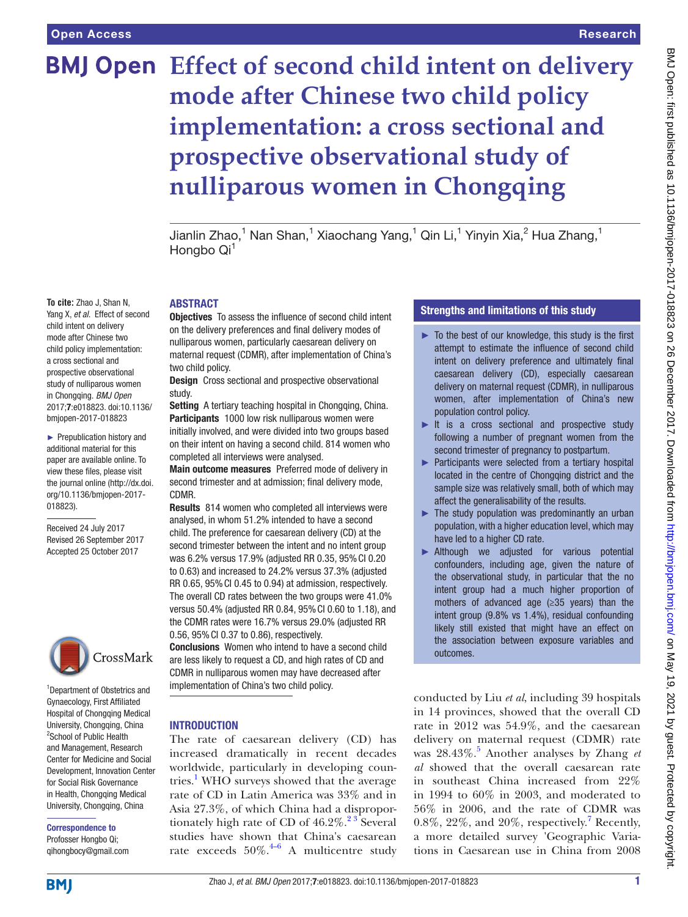#### Research

# **BMJ Open** Effect of second child intent on delivery **mode after Chinese two child policy implementation: a cross sectional and prospective observational study of nulliparous women in Chongqing**

Jianlin Zhao, $^1$  Nan Shan, $^1$  Xiaochang Yang, $^1$  Qin Li, $^1$  Yinyin Xia, $^2$  Hua Zhang, $^1$ Hongbo Qi<sup>1</sup>

#### **ABSTRACT**

Objectives To assess the influence of second child intent on the delivery preferences and final delivery modes of nulliparous women, particularly caesarean delivery on maternal request (CDMR), after implementation of China's two child policy.

Design Cross sectional and prospective observational study.

Setting A tertiary teaching hospital in Chongqing, China. Participants 1000 low risk nulliparous women were initially involved, and were divided into two groups based on their intent on having a second child. 814 women who completed all interviews were analysed.

Main outcome measures Preferred mode of delivery in second trimester and at admission; final delivery mode, CDMR.

Results 814 women who completed all interviews were analysed, in whom 51.2% intended to have a second child. The preference for caesarean delivery (CD) at the second trimester between the intent and no intent group was 6.2% versus 17.9% (adjusted RR 0.35, 95%CI 0.20 to 0.63) and increased to 24.2% versus 37.3% (adjusted RR 0.65, 95% CI 0.45 to 0.94) at admission, respectively. The overall CD rates between the two groups were 41.0% versus 50.4% (adjusted RR 0.84, 95%CI 0.60 to 1.18), and the CDMR rates were 16.7% versus 29.0% (adjusted RR 0.56, 95% CI 0.37 to 0.86), respectively.

Conclusions Women who intend to have a second child are less likely to request a CD, and high rates of CD and CDMR in nulliparous women may have decreased after implementation of China's two child policy.

#### **INTRODUCTION**

The rate of caesarean delivery (CD) has increased dramatically in recent decades worldwide, particularly in developing countries.<sup>1</sup> WHO surveys showed that the average rate of CD in Latin America was 33% and in Asia 27.3%, of which China had a disproportionately high rate of CD of  $46.2\%$ .<sup>23</sup> Several studies have shown that China's caesarean rate exceeds  $50\%$ .<sup>4-6</sup> A multicentre study

# Strengths and limitations of this study

- $\blacktriangleright$  To the best of our knowledge, this study is the first attempt to estimate the influence of second child intent on delivery preference and ultimately final caesarean delivery (CD), especially caesarean delivery on maternal request (CDMR), in nulliparous women, after implementation of China's new population control policy.
- ► It is a cross sectional and prospective study following a number of pregnant women from the second trimester of pregnancy to postpartum.
- ► Participants were selected from a tertiary hospital located in the centre of Chongqing district and the sample size was relatively small, both of which may affect the generalisability of the results.
- $\blacktriangleright$  The study population was predominantly an urban population, with a higher education level, which may have led to a higher CD rate.
- ▶ Although we adjusted for various potential confounders, including age, given the nature of the observational study, in particular that the no intent group had a much higher proportion of mothers of advanced age (≥35 years) than the intent group (9.8% vs 1.4%), residual confounding likely still existed that might have an effect on the association between exposure variables and outcomes.

conducted by Liu *et al*, including 39 hospitals in 14 provinces, showed that the overall CD rate in 2012 was 54.9%, and the caesarean delivery on maternal request (CDMR) rate was 28.43%.<sup>[5](#page-8-3)</sup> Another analyses by Zhang *et al* showed that the overall caesarean rate in southeast China increased from 22% in 1994 to 60% in 2003, and moderated to 56% in 2006, and the rate of CDMR was  $0.8\%$ ,  $22\%$ , and  $20\%$ , respectively.<sup>[7](#page-8-4)</sup> Recently, a more detailed survey 'Geographic Variations in Caesarean use in China from 2008

Yang X, *et al*. Effect of second child intent on delivery mode after Chinese two child policy implementation: a cross sectional and prospective observational study of nulliparous women in Chongqing. *BMJ Open* 2017;7:e018823. doi:10.1136/ bmjopen-2017-018823

**To cite:** Zhao J, Shan N,

► Prepublication history and additional material for this paper are available online. To view these files, please visit the journal online [\(http://dx.doi.](http://dx.doi.org/10.1136/bmjopen-2017-018823) [org/10.1136/bmjopen-2017-](http://dx.doi.org/10.1136/bmjopen-2017-018823) [018823\)](http://dx.doi.org/10.1136/bmjopen-2017-018823).

Received 24 July 2017 Revised 26 September 2017 Accepted 25 October 2017



1 Department of Obstetrics and Gynaecology, First Affiliated Hospital of Chongqing Medical University, Chongqing, China <sup>2</sup>School of Public Health and Management, Research Center for Medicine and Social Development, Innovation Center for Social Risk Governance in Health, Chongqing Medical University, Chongqing, China

Correspondence to Profosser Hongbo Qi; qihongbocy@gmail.com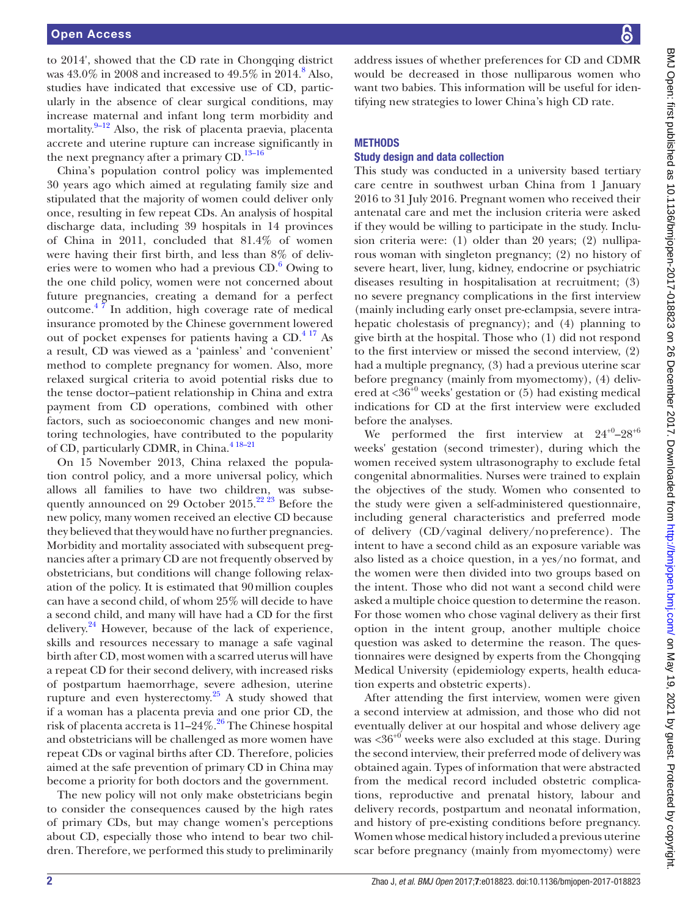to 2014', showed that the CD rate in Chongqing district was  $43.0\%$  in 200[8](#page-8-5) and increased to  $49.5\%$  in 2014.<sup>8</sup> Also, studies have indicated that excessive use of CD, particularly in the absence of clear surgical conditions, may increase maternal and infant long term morbidity and mortality.<sup>[9–12](#page-8-6)</sup> Also, the risk of placenta praevia, placenta accrete and uterine rupture can increase significantly in the next pregnancy after a primary  $CD$ .<sup>13-16</sup>

China's population control policy was implemented 30 years ago which aimed at regulating family size and stipulated that the majority of women could deliver only once, resulting in few repeat CDs. An analysis of hospital discharge data, including 39 hospitals in 14 provinces of China in 2011, concluded that 81.4% of women were having their first birth, and less than 8% of deliveries were to women who had a previous  $CD<sup>6</sup>$  $CD<sup>6</sup>$  $CD<sup>6</sup>$  Owing to the one child policy, women were not concerned about future pregnancies, creating a demand for a perfect outcome[.4 7](#page-8-2) In addition, high coverage rate of medical insurance promoted by the Chinese government lowered out of pocket expenses for patients having a CD.<sup>4 17</sup> As a result, CD was viewed as a 'painless' and 'convenient' method to complete pregnancy for women. Also, more relaxed surgical criteria to avoid potential risks due to the tense doctor–patient relationship in China and extra payment from CD operations, combined with other factors, such as socioeconomic changes and new monitoring technologies, have contributed to the popularity of CD, particularly CDMR, in China.<sup>418-21</sup>

On 15 November 2013, China relaxed the population control policy, and a more universal policy, which allows all families to have two children, was subsequently announced on 29 October 2015.<sup>22</sup> <sup>23</sup> Before the new policy, many women received an elective CD because they believed that they would have no further pregnancies. Morbidity and mortality associated with subsequent pregnancies after a primary CD are not frequently observed by obstetricians, but conditions will change following relaxation of the policy. It is estimated that 90million couples can have a second child, of whom 25% will decide to have a second child, and many will have had a CD for the first delivery. $^{24}$  $^{24}$  $^{24}$  However, because of the lack of experience, skills and resources necessary to manage a safe vaginal birth after CD, most women with a scarred uterus will have a repeat CD for their second delivery, with increased risks of postpartum haemorrhage, severe adhesion, uterine rupture and even hysterectomy. $25$  A study showed that if a woman has a placenta previa and one prior CD, the risk of placenta accreta is  $11-24\%$ .<sup>[26](#page-8-12)</sup> The Chinese hospital and obstetricians will be challenged as more women have repeat CDs or vaginal births after CD. Therefore, policies aimed at the safe prevention of primary CD in China may become a priority for both doctors and the government.

The new policy will not only make obstetricians begin to consider the consequences caused by the high rates of primary CDs, but may change women's perceptions about CD, especially those who intend to bear two children. Therefore, we performed this study to preliminarily

address issues of whether preferences for CD and CDMR would be decreased in those nulliparous women who want two babies. This information will be useful for identifying new strategies to lower China's high CD rate.

## **METHODS**

#### Study design and data collection

This study was conducted in a university based tertiary care centre in southwest urban China from 1 January 2016 to 31 July 2016. Pregnant women who received their antenatal care and met the inclusion criteria were asked if they would be willing to participate in the study. Inclusion criteria were: (1) older than 20 years; (2) nulliparous woman with singleton pregnancy; (2) no history of severe heart, liver, lung, kidney, endocrine or psychiatric diseases resulting in hospitalisation at recruitment; (3) no severe pregnancy complications in the first interview (mainly including early onset pre-eclampsia, severe intrahepatic cholestasis of pregnancy); and (4) planning to give birth at the hospital. Those who (1) did not respond to the first interview or missed the second interview, (2) had a multiple pregnancy, (3) had a previous uterine scar before pregnancy (mainly from myomectomy), (4) delivered at <36<sup>+0</sup> weeks' gestation or (5) had existing medical indications for CD at the first interview were excluded before the analyses.

We performed the first interview at  $24^{+0}$ - $28^{+6}$ weeks' gestation (second trimester), during which the women received system ultrasonography to exclude fetal congenital abnormalities. Nurses were trained to explain the objectives of the study. Women who consented to the study were given a self-administered questionnaire, including general characteristics and preferred mode of delivery (CD/vaginal delivery/nopreference). The intent to have a second child as an exposure variable was also listed as a choice question, in a yes/no format, and the women were then divided into two groups based on the intent. Those who did not want a second child were asked a multiple choice question to determine the reason. For those women who chose vaginal delivery as their first option in the intent group, another multiple choice question was asked to determine the reason. The questionnaires were designed by experts from the Chongqing Medical University (epidemiology experts, health education experts and obstetric experts).

After attending the first interview, women were given a second interview at admission, and those who did not eventually deliver at our hospital and whose delivery age was  $\langle 36^{+0}$  weeks were also excluded at this stage. During the second interview, their preferred mode of delivery was obtained again. Types of information that were abstracted from the medical record included obstetric complications, reproductive and prenatal history, labour and delivery records, postpartum and neonatal information, and history of pre-existing conditions before pregnancy. Women whose medical history included a previous uterine scar before pregnancy (mainly from myomectomy) were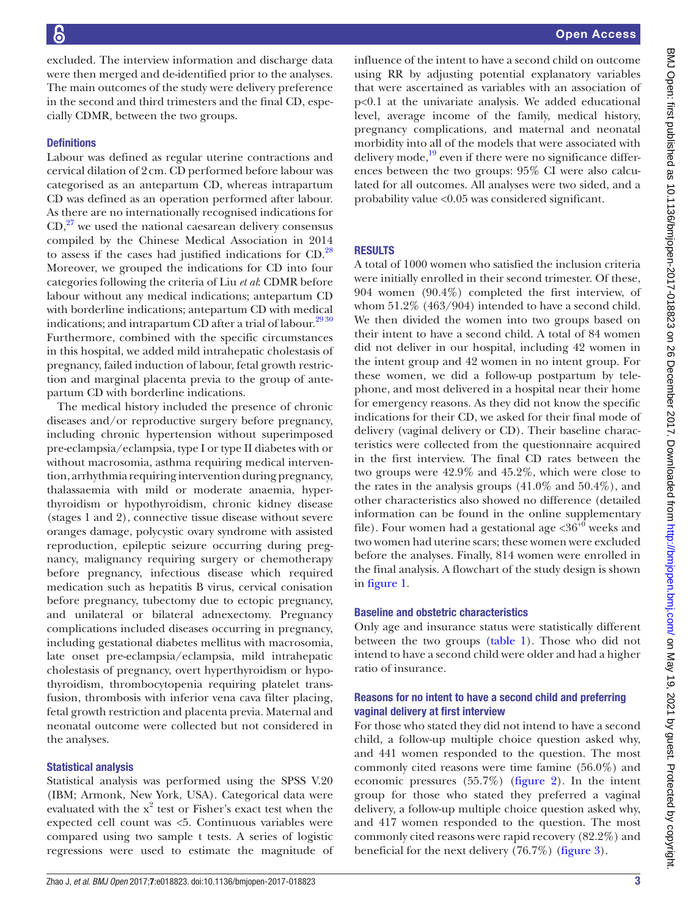excluded. The interview information and discharge data were then merged and de-identified prior to the analyses. The main outcomes of the study were delivery preference in the second and third trimesters and the final CD, especially CDMR, between the two groups.

## **Definitions**

Labour was defined as regular uterine contractions and cervical dilation of 2cm. CD performed before labour was categorised as an antepartum CD, whereas intrapartum CD was defined as an operation performed after labour. As there are no internationally recognised indications for  $CD<sub>1</sub><sup>27</sup>$  we used the national caesarean delivery consensus compiled by the Chinese Medical Association in 2014 to assess if the cases had justified indications for CD.[28](#page-8-14) Moreover, we grouped the indications for CD into four categories following the criteria of Liu *et al*: CDMR before labour without any medical indications; antepartum CD with borderline indications; antepartum CD with medical indications; and intrapartum CD after a trial of labour.<sup>2930</sup> Furthermore, combined with the specific circumstances in this hospital, we added mild intrahepatic cholestasis of pregnancy, failed induction of labour, fetal growth restriction and marginal placenta previa to the group of antepartum CD with borderline indications.

The medical history included the presence of chronic diseases and/or reproductive surgery before pregnancy, including chronic hypertension without superimposed pre-eclampsia/eclampsia, type I or type II diabetes with or without macrosomia, asthma requiring medical intervention, arrhythmia requiring intervention during pregnancy, thalassaemia with mild or moderate anaemia, hyperthyroidism or hypothyroidism, chronic kidney disease (stages 1 and 2), connective tissue disease without severe oranges damage, polycystic ovary syndrome with assisted reproduction, epileptic seizure occurring during pregnancy, malignancy requiring surgery or chemotherapy before pregnancy, infectious disease which required medication such as hepatitis B virus, cervical conisation before pregnancy, tubectomy due to ectopic pregnancy, and unilateral or bilateral adnexectomy. Pregnancy complications included diseases occurring in pregnancy, including gestational diabetes mellitus with macrosomia, late onset pre-eclampsia/eclampsia, mild intrahepatic cholestasis of pregnancy, overt hyperthyroidism or hypothyroidism, thrombocytopenia requiring platelet transfusion, thrombosis with inferior vena cava filter placing, fetal growth restriction and placenta previa. Maternal and neonatal outcome were collected but not considered in the analyses.

#### Statistical analysis

Statistical analysis was performed using the SPSS V.20 (IBM; Armonk, New York, USA). Categorical data were evaluated with the  $x^2$  test or Fisher's exact test when the expected cell count was <5. Continuous variables were compared using two sample t tests. A series of logistic regressions were used to estimate the magnitude of

influence of the intent to have a second child on outcome using RR by adjusting potential explanatory variables that were ascertained as variables with an association of p<0.1 at the univariate analysis. We added educational level, average income of the family, medical history, pregnancy complications, and maternal and neonatal morbidity into all of the models that were associated with delivery mode,<sup>19</sup> even if there were no significance differences between the two groups: 95% CI were also calculated for all outcomes. All analyses were two sided, and a probability value <0.05 was considered significant.

# **RESULTS**

A total of 1000 women who satisfied the inclusion criteria were initially enrolled in their second trimester. Of these, 904 women (90.4%) completed the first interview, of whom 51.2% (463/904) intended to have a second child. We then divided the women into two groups based on their intent to have a second child. A total of 84 women did not deliver in our hospital, including 42 women in the intent group and 42 women in no intent group. For these women, we did a follow-up postpartum by telephone, and most delivered in a hospital near their home for emergency reasons. As they did not know the specific indications for their CD, we asked for their final mode of delivery (vaginal delivery or CD). Their baseline characteristics were collected from the questionnaire acquired in the first interview. The final CD rates between the two groups were 42.9% and 45.2%, which were close to the rates in the analysis groups (41.0% and 50.4%), and other characteristics also showed no difference (detailed information can be found in the online [supplementary](https://dx.doi.org/10.1136/bmjopen-2017-018823)  [file\)](https://dx.doi.org/10.1136/bmjopen-2017-018823). Four women had a gestational age  $\langle 36^{+0}$  weeks and two women had uterine scars; these women were excluded before the analyses. Finally, 814 women were enrolled in the final analysis. A flowchart of the study design is shown in [figure](#page-3-0) 1.

#### Baseline and obstetric characteristics

Only age and insurance status were statistically different between the two groups ([table](#page-4-0) 1). Those who did not intend to have a second child were older and had a higher ratio of insurance.

## Reasons for no intent to have a second child and preferring vaginal delivery at first interview

For those who stated they did not intend to have a second child, a follow-up multiple choice question asked why, and 441 women responded to the question. The most commonly cited reasons were time famine (56.0%) and economic pressures (55.7%) ([figure](#page-5-0) 2). In the intent group for those who stated they preferred a vaginal delivery, a follow-up multiple choice question asked why, and 417 women responded to the question. The most commonly cited reasons were rapid recovery (82.2%) and beneficial for the next delivery (76.7%) ([figure](#page-5-1) 3).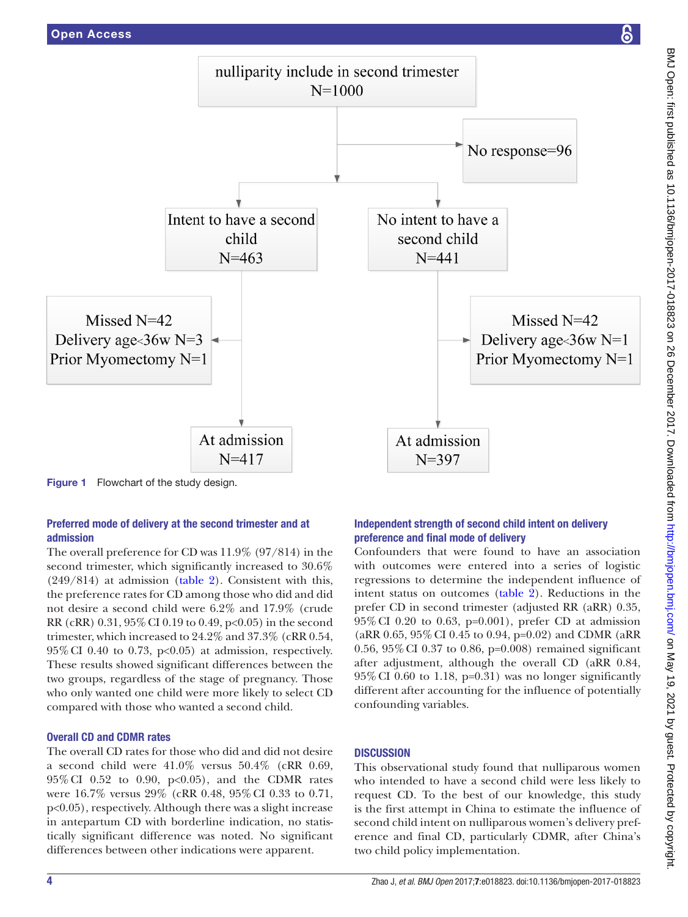

<span id="page-3-0"></span>Preferred mode of delivery at the second trimester and at admission

The overall preference for CD was 11.9% (97/814) in the second trimester, which significantly increased to 30.6% (249/814) at admission [\(table](#page-6-0) 2). Consistent with this, the preference rates for CD among those who did and did not desire a second child were 6.2% and 17.9% (crude RR (cRR) 0.31, 95%CI 0.19 to 0.49, p<0.05) in the second trimester, which increased to 24.2% and 37.3% (cRR 0.54,  $95\%$  CI 0.40 to 0.73, p<0.05) at admission, respectively. These results showed significant differences between the two groups, regardless of the stage of pregnancy. Those who only wanted one child were more likely to select CD compared with those who wanted a second child.

# Overall CD and CDMR rates

The overall CD rates for those who did and did not desire a second child were 41.0% versus 50.4% (cRR 0.69, 95%CI 0.52 to 0.90, p<0.05), and the CDMR rates were 16.7% versus 29% (cRR 0.48, 95%CI 0.33 to 0.71, p<0.05), respectively. Although there was a slight increase in antepartum CD with borderline indication, no statistically significant difference was noted. No significant differences between other indications were apparent.

# Independent strength of second child intent on delivery preference and final mode of delivery

Confounders that were found to have an association with outcomes were entered into a series of logistic regressions to determine the independent influence of intent status on outcomes [\(table](#page-6-0) 2). Reductions in the prefer CD in second trimester (adjusted RR (aRR) 0.35, 95%CI 0.20 to 0.63, p=0.001), prefer CD at admission (aRR 0.65, 95%CI 0.45 to 0.94, p=0.02) and CDMR (aRR 0.56, 95%CI 0.37 to 0.86, p=0.008) remained significant after adjustment, although the overall CD (aRR 0.84,  $95\%$  CI 0.60 to 1.18, p=0.31) was no longer significantly different after accounting for the influence of potentially confounding variables.

# **DISCUSSION**

This observational study found that nulliparous women who intended to have a second child were less likely to request CD. To the best of our knowledge, this study is the first attempt in China to estimate the influence of second child intent on nulliparous women's delivery preference and final CD, particularly CDMR, after China's two child policy implementation.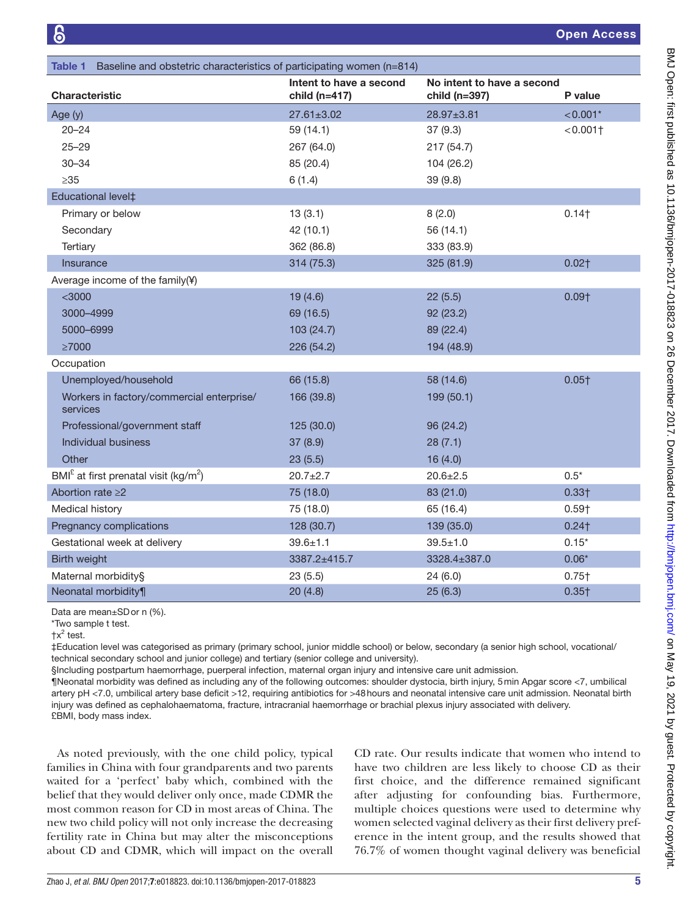<span id="page-4-0"></span>

| Baseline and obstetric characteristics of participating women (n=814)<br>Table 1 |                                              |                                             |                        |  |  |  |  |
|----------------------------------------------------------------------------------|----------------------------------------------|---------------------------------------------|------------------------|--|--|--|--|
| <b>Characteristic</b>                                                            | Intent to have a second<br>child ( $n=417$ ) | No intent to have a second<br>child (n=397) | P value                |  |  |  |  |
| Age (y)                                                                          | $27.61 \pm 3.02$                             | 28.97±3.81                                  | $< 0.001*$             |  |  |  |  |
| $20 - 24$                                                                        | 59 (14.1)                                    | 37(9.3)                                     | $< 0.001$ <sup>+</sup> |  |  |  |  |
| $25 - 29$                                                                        | 267 (64.0)                                   | 217 (54.7)                                  |                        |  |  |  |  |
| $30 - 34$                                                                        | 85 (20.4)                                    | 104 (26.2)                                  |                        |  |  |  |  |
| $\geq 35$                                                                        | 6(1.4)                                       | 39(9.8)                                     |                        |  |  |  |  |
| Educational level‡                                                               |                                              |                                             |                        |  |  |  |  |
| Primary or below                                                                 | 13(3.1)                                      | 8(2.0)                                      | 0.14                   |  |  |  |  |
| Secondary                                                                        | 42 (10.1)                                    | 56 (14.1)                                   |                        |  |  |  |  |
| Tertiary                                                                         | 362 (86.8)                                   | 333 (83.9)                                  |                        |  |  |  |  |
| Insurance                                                                        | 314 (75.3)                                   | 325 (81.9)                                  | $0.02+$                |  |  |  |  |
| Average income of the family(¥)                                                  |                                              |                                             |                        |  |  |  |  |
| $<$ 3000                                                                         | 19(4.6)                                      | 22(5.5)                                     | $0.09+$                |  |  |  |  |
| 3000-4999                                                                        | 69 (16.5)                                    | 92(23.2)                                    |                        |  |  |  |  |
| 5000-6999                                                                        | 103 (24.7)                                   | 89 (22.4)                                   |                        |  |  |  |  |
| $\geq 7000$                                                                      | 226 (54.2)                                   | 194 (48.9)                                  |                        |  |  |  |  |
| Occupation                                                                       |                                              |                                             |                        |  |  |  |  |
| Unemployed/household                                                             | 66 (15.8)                                    | 58 (14.6)                                   | $0.05+$                |  |  |  |  |
| Workers in factory/commercial enterprise/<br>services                            | 166 (39.8)                                   | 199 (50.1)                                  |                        |  |  |  |  |
| Professional/government staff                                                    | 125(30.0)                                    | 96(24.2)                                    |                        |  |  |  |  |
| <b>Individual business</b>                                                       | 37 (8.9)                                     | 28(7.1)                                     |                        |  |  |  |  |
| Other                                                                            | 23(5.5)                                      | 16(4.0)                                     |                        |  |  |  |  |
| $BMIE$ at first prenatal visit (kg/m <sup>2</sup> )                              | $20.7 + 2.7$                                 | $20.6 \pm 2.5$                              | $0.5*$                 |  |  |  |  |
| Abortion rate $\geq$ 2                                                           | 75 (18.0)                                    | 83 (21.0)                                   | $0.33+$                |  |  |  |  |
| Medical history                                                                  | 75 (18.0)                                    | 65 (16.4)                                   | $0.59+$                |  |  |  |  |
| Pregnancy complications                                                          | 128 (30.7)                                   | 139 (35.0)                                  | $0.24$ <sup>†</sup>    |  |  |  |  |
| Gestational week at delivery                                                     | $39.6 \pm 1.1$                               | $39.5 \pm 1.0$                              | $0.15*$                |  |  |  |  |
| Birth weight                                                                     | 3387.2±415.7                                 | 3328.4±387.0                                | $0.06*$                |  |  |  |  |
| Maternal morbidity§                                                              | 23(5.5)                                      | 24(6.0)                                     | $0.75\dagger$          |  |  |  |  |
| Neonatal morbidity¶                                                              | 20(4.8)                                      | 25(6.3)                                     | $0.35+$                |  |  |  |  |

Data are mean±SDor n (%).

\*Two sample t test.

‡Education level was categorised as primary (primary school, junior middle school) or below, secondary (a senior high school, vocational/ technical secondary school and junior college) and tertiary (senior college and university).

§Including postpartum haemorrhage, puerperal infection, maternal organ injury and intensive care unit admission.

¶Neonatal morbidity was defined as including any of the following outcomes: shoulder dystocia, birth injury, 5min Apgar score <7, umbilical artery pH <7.0, umbilical artery base deficit >12, requiring antibiotics for >48hours and neonatal intensive care unit admission. Neonatal birth injury was defined as cephalohaematoma, fracture, intracranial haemorrhage or brachial plexus injury associated with delivery. £BMI, body mass index.

As noted previously, with the one child policy, typical families in China with four grandparents and two parents waited for a 'perfect' baby which, combined with the belief that they would deliver only once, made CDMR the most common reason for CD in most areas of China. The new two child policy will not only increase the decreasing fertility rate in China but may alter the misconceptions about CD and CDMR, which will impact on the overall

CD rate. Our results indicate that women who intend to have two children are less likely to choose CD as their first choice, and the difference remained significant after adjusting for confounding bias. Furthermore, multiple choices questions were used to determine why women selected vaginal delivery as their first delivery preference in the intent group, and the results showed that 76.7% of women thought vaginal delivery was beneficial

 $\uparrow$ x<sup>2</sup> test.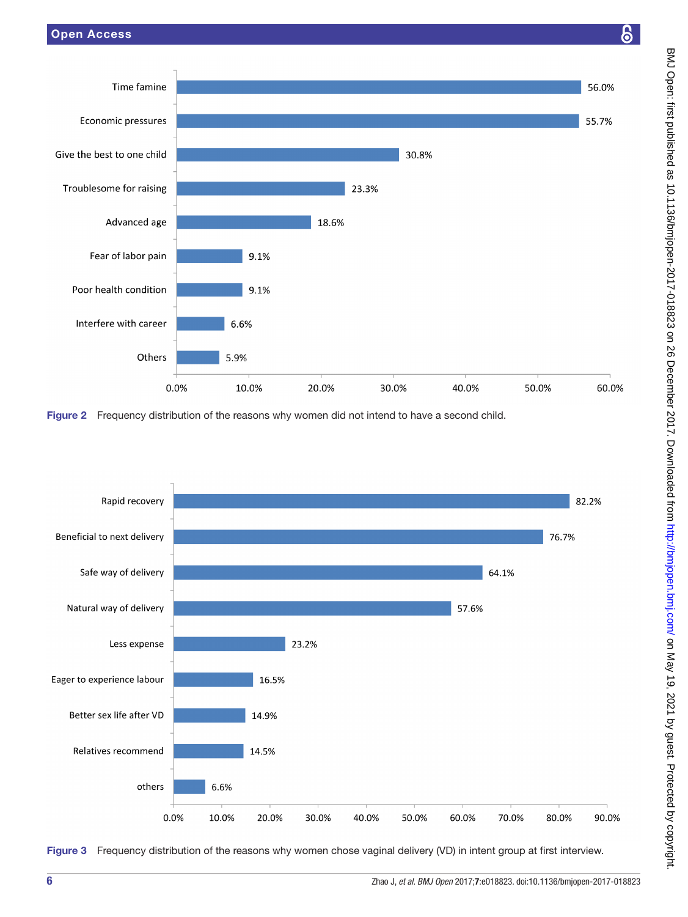

<span id="page-5-0"></span>



<span id="page-5-1"></span>Figure 3 Frequency distribution of the reasons why women chose vaginal delivery (VD) in intent group at first interview.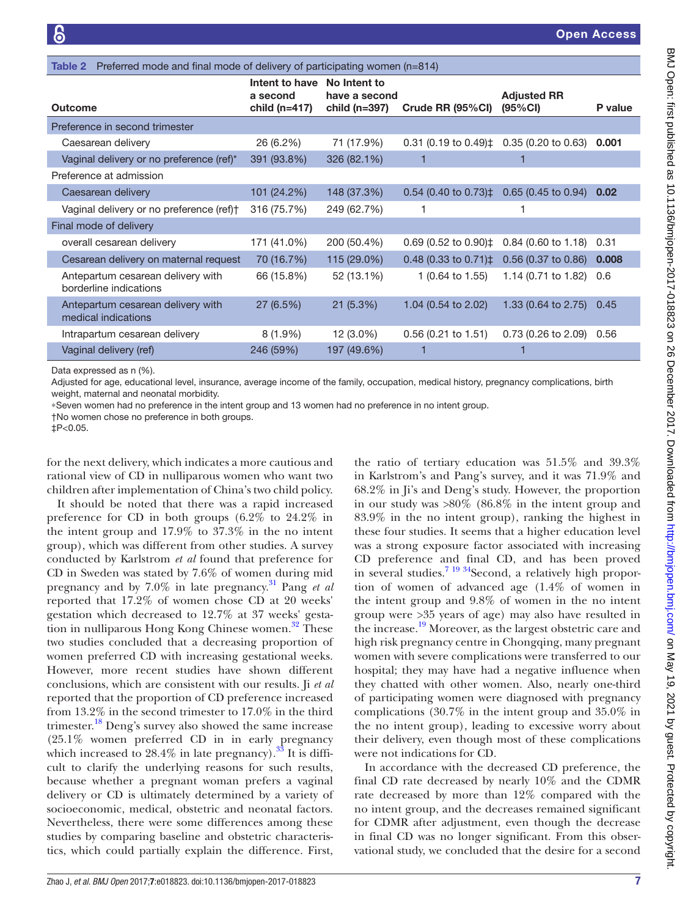<span id="page-6-0"></span>

| Preferred mode and final mode of delivery of participating women (n=814)<br>Table 2 |                                               |                                                    |                                  |                               |         |  |  |  |
|-------------------------------------------------------------------------------------|-----------------------------------------------|----------------------------------------------------|----------------------------------|-------------------------------|---------|--|--|--|
| Outcome                                                                             | Intent to have<br>a second<br>child $(n=417)$ | No Intent to<br>have a second<br>child ( $n=397$ ) | Crude RR (95%CI)                 | <b>Adjusted RR</b><br>(95%CI) | P value |  |  |  |
| Preference in second trimester                                                      |                                               |                                                    |                                  |                               |         |  |  |  |
| Caesarean delivery                                                                  | 26 (6.2%)                                     | 71 (17.9%)                                         | $0.31$ (0.19 to 0.49) $\ddagger$ | 0.35(0.20 to 0.63)            | 0.001   |  |  |  |
| Vaginal delivery or no preference (ref)*                                            | 391 (93.8%)                                   | 326 (82.1%)                                        |                                  |                               |         |  |  |  |
| Preference at admission                                                             |                                               |                                                    |                                  |                               |         |  |  |  |
| Caesarean delivery                                                                  | 101 (24.2%)                                   | 148 (37.3%)                                        | $0.54$ (0.40 to 0.73) $\ddagger$ | $0.65$ (0.45 to 0.94)         | 0.02    |  |  |  |
| Vaginal delivery or no preference (ref)+                                            | 316 (75.7%)                                   | 249 (62.7%)                                        | 1                                |                               |         |  |  |  |
| Final mode of delivery                                                              |                                               |                                                    |                                  |                               |         |  |  |  |
| overall cesarean delivery                                                           | 171 (41.0%)                                   | 200 (50.4%)                                        | $0.69$ (0.52 to 0.90) $\ddagger$ | $0.84$ (0.60 to 1.18)         | 0.31    |  |  |  |
| Cesarean delivery on maternal request                                               | 70 (16.7%)                                    | 115 (29.0%)                                        | $0.48(0.33 \text{ to } 0.71)$ ‡  | $0.56$ (0.37 to 0.86)         | 0.008   |  |  |  |
| Antepartum cesarean delivery with<br>borderline indications                         | 66 (15.8%)                                    | 52 (13.1%)                                         | 1 $(0.64 \text{ to } 1.55)$      | 1.14 (0.71 to 1.82)           | 0.6     |  |  |  |
| Antepartum cesarean delivery with<br>medical indications                            | 27 (6.5%)                                     | 21(5.3%)                                           | 1.04 (0.54 to 2.02)              | 1.33 (0.64 to 2.75)           | 0.45    |  |  |  |
| Intrapartum cesarean delivery                                                       | $8(1.9\%)$                                    | 12 (3.0%)                                          | $0.56$ (0.21 to 1.51)            | $0.73(0.26 \text{ to } 2.09)$ | 0.56    |  |  |  |
| Vaginal delivery (ref)                                                              | 246 (59%)                                     | 197 (49.6%)                                        |                                  |                               |         |  |  |  |

Data expressed as n (%).

Adjusted for age, educational level, insurance, average income of the family, occupation, medical history, pregnancy complications, birth weight, maternal and neonatal morbidity.

∗Seven women had no preference in the intent group and 13 women had no preference in no intent group.

†No women chose no preference in both groups.

‡P<0.05.

for the next delivery, which indicates a more cautious and rational view of CD in nulliparous women who want two children after implementation of China's two child policy.

It should be noted that there was a rapid increased preference for CD in both groups (6.2% to 24.2% in the intent group and 17.9% to 37.3% in the no intent group), which was different from other studies. A survey conducted by Karlstrom *et al* found that preference for CD in Sweden was stated by 7.6% of women during mid pregnancy and by 7.0% in late pregnancy.[31](#page-8-17) Pang *et al* reported that 17.2% of women chose CD at 20 weeks' gestation which decreased to 12.7% at 37 weeks' gestation in nulliparous Hong Kong Chinese women.<sup>32</sup> These two studies concluded that a decreasing proportion of women preferred CD with increasing gestational weeks. However, more recent studies have shown different conclusions, which are consistent with our results. Ji *et al* reported that the proportion of CD preference increased from 13.2% in the second trimester to 17.0% in the third trimester.<sup>18</sup> Deng's survey also showed the same increase (25.1% women preferred CD in in early pregnancy which increased to  $28.4\%$  in late pregnancy).<sup>33</sup> It is difficult to clarify the underlying reasons for such results, because whether a pregnant woman prefers a vaginal delivery or CD is ultimately determined by a variety of socioeconomic, medical, obstetric and neonatal factors. Nevertheless, there were some differences among these studies by comparing baseline and obstetric characteristics, which could partially explain the difference. First,

the ratio of tertiary education was 51.5% and 39.3% in Karlstrom's and Pang's survey, and it was 71.9% and 68.2% in Ji's and Deng's study. However, the proportion in our study was >80% (86.8% in the intent group and 83.9% in the no intent group), ranking the highest in these four studies. It seems that a higher education level was a strong exposure factor associated with increasing CD preference and final CD, and has been proved in several studies.<sup>7 19 34</sup> Second, a relatively high proportion of women of advanced age (1.4% of women in the intent group and 9.8% of women in the no intent group were >35 years of age) may also have resulted in the increase[.19](#page-8-16) Moreover, as the largest obstetric care and high risk pregnancy centre in Chongqing, many pregnant women with severe complications were transferred to our hospital; they may have had a negative influence when they chatted with other women. Also, nearly one-third of participating women were diagnosed with pregnancy complications (30.7% in the intent group and 35.0% in the no intent group), leading to excessive worry about their delivery, even though most of these complications were not indications for CD.

In accordance with the decreased CD preference, the final CD rate decreased by nearly 10% and the CDMR rate decreased by more than 12% compared with the no intent group, and the decreases remained significant for CDMR after adjustment, even though the decrease in final CD was no longer significant. From this observational study, we concluded that the desire for a second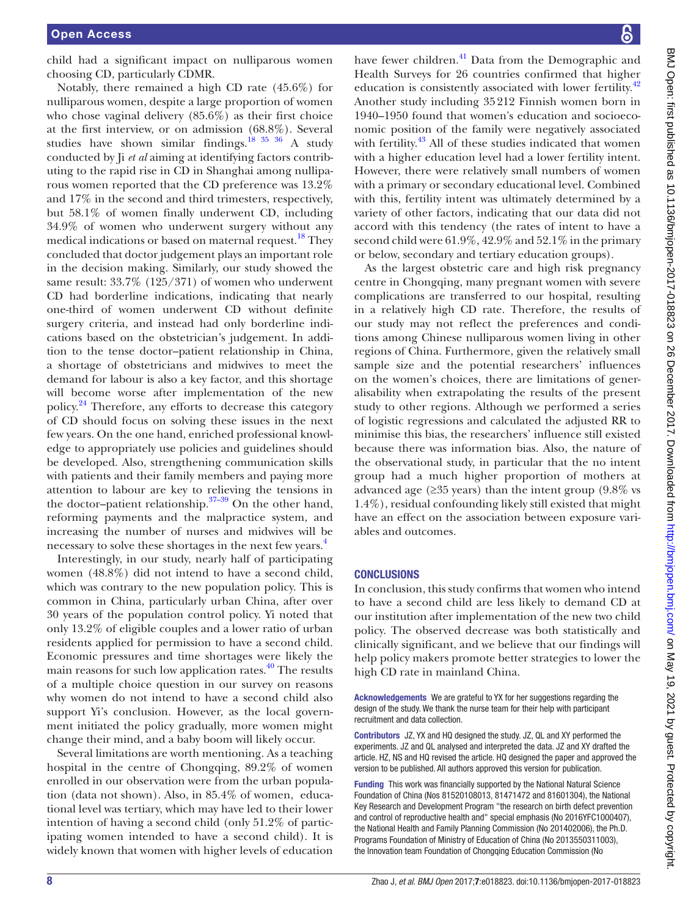child had a significant impact on nulliparous women choosing CD, particularly CDMR.

Notably, there remained a high CD rate (45.6%) for nulliparous women, despite a large proportion of women who chose vaginal delivery (85.6%) as their first choice at the first interview, or on admission (68.8%). Several studies have shown similar findings.<sup>18 35</sup> 36 A study conducted by Ji *et al* aiming at identifying factors contributing to the rapid rise in CD in Shanghai among nulliparous women reported that the CD preference was 13.2% and 17% in the second and third trimesters, respectively, but 58.1% of women finally underwent CD, including 34.9% of women who underwent surgery without any medical indications or based on maternal request.<sup>18</sup> They concluded that doctor judgement plays an important role in the decision making. Similarly, our study showed the same result: 33.7% (125/371) of women who underwent CD had borderline indications, indicating that nearly one-third of women underwent CD without definite surgery criteria, and instead had only borderline indications based on the obstetrician's judgement. In addition to the tense doctor–patient relationship in China, a shortage of obstetricians and midwives to meet the demand for labour is also a key factor, and this shortage will become worse after implementation of the new policy.<sup>[24](#page-8-10)</sup> Therefore, any efforts to decrease this category of CD should focus on solving these issues in the next few years. On the one hand, enriched professional knowledge to appropriately use policies and guidelines should be developed. Also, strengthening communication skills with patients and their family members and paying more attention to labour are key to relieving the tensions in the doctor–patient relationship.<sup>37–39</sup> On the other hand, reforming payments and the malpractice system, and increasing the number of nurses and midwives will be necessary to solve these shortages in the next few years.<sup>[4](#page-8-2)</sup>

Interestingly, in our study, nearly half of participating women (48.8%) did not intend to have a second child, which was contrary to the new population policy. This is common in China, particularly urban China, after over 30 years of the population control policy. Yi noted that only 13.2% of eligible couples and a lower ratio of urban residents applied for permission to have a second child. Economic pressures and time shortages were likely the main reasons for such low application rates.<sup>40</sup> The results of a multiple choice question in our survey on reasons why women do not intend to have a second child also support Yi's conclusion. However, as the local government initiated the policy gradually, more women might change their mind, and a baby boom will likely occur.

Several limitations are worth mentioning. As a teaching hospital in the centre of Chongqing, 89.2% of women enrolled in our observation were from the urban population (data not shown). Also, in 85.4% of women, educational level was tertiary, which may have led to their lower intention of having a second child (only 51.2% of participating women intended to have a second child). It is widely known that women with higher levels of education

have fewer children.<sup>41</sup> Data from the Demographic and Health Surveys for 26 countries confirmed that higher education is consistently associated with lower fertility.<sup>[42](#page-8-24)</sup> Another study including 35212 Finnish women born in 1940–1950 found that women's education and socioeconomic position of the family were negatively associated with fertility.<sup>43</sup> All of these studies indicated that women with a higher education level had a lower fertility intent. However, there were relatively small numbers of women with a primary or secondary educational level. Combined with this, fertility intent was ultimately determined by a variety of other factors, indicating that our data did not accord with this tendency (the rates of intent to have a second child were 61.9%, 42.9% and 52.1% in the primary or below, secondary and tertiary education groups).

As the largest obstetric care and high risk pregnancy centre in Chongqing, many pregnant women with severe complications are transferred to our hospital, resulting in a relatively high CD rate. Therefore, the results of our study may not reflect the preferences and conditions among Chinese nulliparous women living in other regions of China. Furthermore, given the relatively small sample size and the potential researchers' influences on the women's choices, there are limitations of generalisability when extrapolating the results of the present study to other regions. Although we performed a series of logistic regressions and calculated the adjusted RR to minimise this bias, the researchers' influence still existed because there was information bias. Also, the nature of the observational study, in particular that the no intent group had a much higher proportion of mothers at advanced age ( $\geq$ 35 years) than the intent group (9.8% vs 1.4%), residual confounding likely still existed that might have an effect on the association between exposure variables and outcomes.

#### **CONCLUSIONS**

In conclusion, this study confirms that women who intend to have a second child are less likely to demand CD at our institution after implementation of the new two child policy. The observed decrease was both statistically and clinically significant, and we believe that our findings will help policy makers promote better strategies to lower the high CD rate in mainland China.

Acknowledgements We are grateful to YX for her suggestions regarding the design of the study. We thank the nurse team for their help with participant recruitment and data collection.

Contributors JZ, YX and HQ designed the study. JZ, QL and XY performed the experiments. JZ and QL analysed and interpreted the data. JZ and XY drafted the article. HZ, NS and HQ revised the article. HQ designed the paper and approved the version to be published. All authors approved this version for publication.

Funding This work was financially supported by the National Natural Science Foundation of China (Nos 81520108013, 81471472 and 81601304), the National Key Research and Development Program "the research on birth defect prevention and control of reproductive health and" special emphasis (No 2016YFC1000407), the National Health and Family Planning Commission (No 201402006), the Ph.D. Programs Foundation of Ministry of Education of China (No 2013550311003), the Innovation team Foundation of Chongqing Education Commission (No